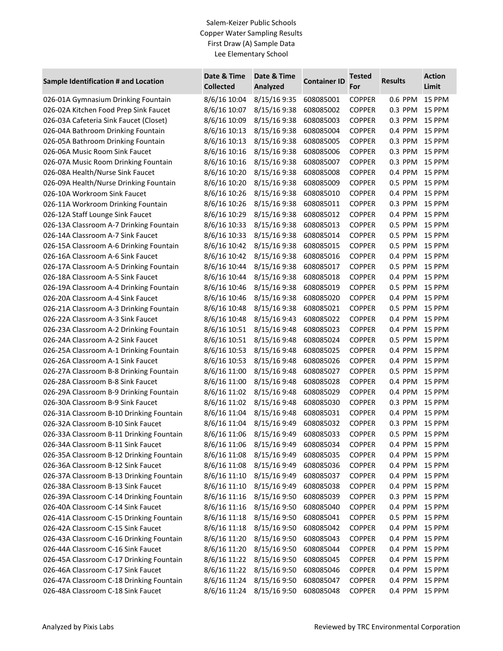## Salem-Keizer Public Schools Copper Water Sampling Results First Draw (A) Sample Data Lee Elementary School

| Sample Identification # and Location                                           | Date & Time<br><b>Collected</b> | Date & Time<br>Analyzed | <b>Container ID</b> | <b>Tested</b><br>For | <b>Results</b> | <b>Action</b><br>Limit |
|--------------------------------------------------------------------------------|---------------------------------|-------------------------|---------------------|----------------------|----------------|------------------------|
| 026-01A Gymnasium Drinking Fountain                                            | 8/6/16 10:04                    | 8/15/16 9:35            | 608085001           | <b>COPPER</b>        | 0.6 PPM        | 15 PPM                 |
| 026-02A Kitchen Food Prep Sink Faucet                                          | 8/6/16 10:07                    | 8/15/16 9:38            | 608085002           | <b>COPPER</b>        | 0.3 PPM        | 15 PPM                 |
| 026-03A Cafeteria Sink Faucet (Closet)                                         | 8/6/16 10:09                    | 8/15/16 9:38            | 608085003           | <b>COPPER</b>        | 0.3 PPM        | 15 PPM                 |
| 026-04A Bathroom Drinking Fountain                                             | 8/6/16 10:13                    | 8/15/16 9:38            | 608085004           | <b>COPPER</b>        | 0.4 PPM        | 15 PPM                 |
| 026-05A Bathroom Drinking Fountain                                             | 8/6/16 10:13                    | 8/15/16 9:38            | 608085005           | <b>COPPER</b>        | 0.3 PPM        | 15 PPM                 |
| 026-06A Music Room Sink Faucet                                                 | 8/6/16 10:16                    | 8/15/16 9:38            | 608085006           | <b>COPPER</b>        | 0.3 PPM        | 15 PPM                 |
| 026-07A Music Room Drinking Fountain                                           | 8/6/16 10:16                    | 8/15/16 9:38            | 608085007           | <b>COPPER</b>        | 0.3 PPM        | 15 PPM                 |
| 026-08A Health/Nurse Sink Faucet                                               | 8/6/16 10:20                    | 8/15/16 9:38            | 608085008           | <b>COPPER</b>        | 0.4 PPM        | 15 PPM                 |
| 026-09A Health/Nurse Drinking Fountain                                         | 8/6/16 10:20                    | 8/15/16 9:38            | 608085009           | <b>COPPER</b>        | 0.5 PPM        | 15 PPM                 |
| 026-10A Workroom Sink Faucet                                                   | 8/6/16 10:26                    | 8/15/16 9:38            | 608085010           | <b>COPPER</b>        | 0.4 PPM        | 15 PPM                 |
| 026-11A Workroom Drinking Fountain                                             | 8/6/16 10:26                    | 8/15/16 9:38            | 608085011           | <b>COPPER</b>        | 0.3 PPM        | 15 PPM                 |
| 026-12A Staff Lounge Sink Faucet                                               | 8/6/16 10:29                    | 8/15/16 9:38            | 608085012           | <b>COPPER</b>        | 0.4 PPM        | 15 PPM                 |
| 026-13A Classroom A-7 Drinking Fountain                                        | 8/6/16 10:33                    | 8/15/16 9:38            | 608085013           | <b>COPPER</b>        | 0.5 PPM        | 15 PPM                 |
| 026-14A Classroom A-7 Sink Faucet                                              | 8/6/16 10:33                    | 8/15/16 9:38            | 608085014           | <b>COPPER</b>        | 0.5 PPM        | 15 PPM                 |
| 026-15A Classroom A-6 Drinking Fountain                                        | 8/6/16 10:42                    | 8/15/16 9:38            | 608085015           | <b>COPPER</b>        | 0.5 PPM        | 15 PPM                 |
| 026-16A Classroom A-6 Sink Faucet                                              | 8/6/16 10:42                    | 8/15/16 9:38            | 608085016           | <b>COPPER</b>        | 0.4 PPM        | 15 PPM                 |
| 026-17A Classroom A-5 Drinking Fountain                                        | 8/6/16 10:44                    | 8/15/16 9:38            | 608085017           | <b>COPPER</b>        | 0.5 PPM        | 15 PPM                 |
| 026-18A Classroom A-5 Sink Faucet                                              | 8/6/16 10:44                    | 8/15/16 9:38            | 608085018           | <b>COPPER</b>        | 0.4 PPM        | 15 PPM                 |
| 026-19A Classroom A-4 Drinking Fountain                                        | 8/6/16 10:46                    | 8/15/16 9:38            | 608085019           | <b>COPPER</b>        | 0.5 PPM        | 15 PPM                 |
| 026-20A Classroom A-4 Sink Faucet                                              | 8/6/16 10:46                    | 8/15/16 9:38            | 608085020           | <b>COPPER</b>        | 0.4 PPM        | 15 PPM                 |
| 026-21A Classroom A-3 Drinking Fountain                                        | 8/6/16 10:48                    | 8/15/16 9:38            | 608085021           | <b>COPPER</b>        | 0.5 PPM        | 15 PPM                 |
| 026-22A Classroom A-3 Sink Faucet                                              | 8/6/16 10:48                    | 8/15/16 9:43            | 608085022           | <b>COPPER</b>        | 0.4 PPM        | 15 PPM                 |
| 026-23A Classroom A-2 Drinking Fountain                                        | 8/6/16 10:51                    | 8/15/16 9:48            | 608085023           | <b>COPPER</b>        | 0.4 PPM        | 15 PPM                 |
| 026-24A Classroom A-2 Sink Faucet                                              | 8/6/16 10:51                    | 8/15/16 9:48            | 608085024           | <b>COPPER</b>        | 0.5 PPM        | 15 PPM                 |
| 026-25A Classroom A-1 Drinking Fountain                                        | 8/6/16 10:53                    | 8/15/16 9:48            | 608085025           | <b>COPPER</b>        | 0.4 PPM        | 15 PPM                 |
| 026-26A Classroom A-1 Sink Faucet                                              | 8/6/16 10:53                    | 8/15/16 9:48            | 608085026           | <b>COPPER</b>        | 0.4 PPM        | 15 PPM                 |
| 026-27A Classroom B-8 Drinking Fountain                                        | 8/6/16 11:00                    | 8/15/16 9:48            | 608085027           | <b>COPPER</b>        | 0.5 PPM        | 15 PPM                 |
| 026-28A Classroom B-8 Sink Faucet                                              | 8/6/16 11:00                    | 8/15/16 9:48            | 608085028           | <b>COPPER</b>        | 0.4 PPM        | 15 PPM                 |
| 026-29A Classroom B-9 Drinking Fountain                                        | 8/6/16 11:02                    | 8/15/16 9:48            | 608085029           | <b>COPPER</b>        | 0.4 PPM        | 15 PPM                 |
| 026-30A Classroom B-9 Sink Faucet                                              | 8/6/16 11:02                    | 8/15/16 9:48            | 608085030           | <b>COPPER</b>        | 0.3 PPM        | 15 PPM                 |
| 026-31A Classroom B-10 Drinking Fountain                                       | 8/6/16 11:04                    | 8/15/16 9:48            | 608085031           | <b>COPPER</b>        | 0.4 PPM        | 15 PPM                 |
| 026-32A Classroom B-10 Sink Faucet                                             | 8/6/16 11:04                    | 8/15/16 9:49            | 608085032           | <b>COPPER</b>        | 0.3 PPM        | 15 PPM                 |
| 026-33A Classroom B-11 Drinking Fountain                                       | 8/6/16 11:06                    | 8/15/16 9:49            | 608085033           | <b>COPPER</b>        | 0.5 PPM        | 15 PPM                 |
|                                                                                | 8/6/16 11:06                    | 8/15/16 9:49            | 608085034           | <b>COPPER</b>        | 0.4 PPM        | 15 PPM                 |
| 026-34A Classroom B-11 Sink Faucet<br>026-35A Classroom B-12 Drinking Fountain | 8/6/16 11:08                    | 8/15/16 9:49            | 608085035           | <b>COPPER</b>        | 0.4 PPM        | 15 PPM                 |
| 026-36A Classroom B-12 Sink Faucet                                             | 8/6/16 11:08                    | 8/15/16 9:49            | 608085036           | <b>COPPER</b>        | 0.4 PPM        | 15 PPM                 |
| 026-37A Classroom B-13 Drinking Fountain                                       | 8/6/16 11:10                    | 8/15/16 9:49            | 608085037           | <b>COPPER</b>        | 0.4 PPM        | 15 PPM                 |
|                                                                                | 8/6/16 11:10                    | 8/15/16 9:49            | 608085038           | <b>COPPER</b>        | 0.4 PPM        | 15 PPM                 |
| 026-38A Classroom B-13 Sink Faucet                                             |                                 | 8/15/16 9:50            |                     |                      |                |                        |
| 026-39A Classroom C-14 Drinking Fountain                                       | 8/6/16 11:16                    |                         | 608085039           | <b>COPPER</b>        | 0.3 PPM        | 15 PPM                 |
| 026-40A Classroom C-14 Sink Faucet                                             | 8/6/16 11:16                    | 8/15/16 9:50            | 608085040           | <b>COPPER</b>        | 0.4 PPM        | 15 PPM                 |
| 026-41A Classroom C-15 Drinking Fountain                                       | 8/6/16 11:18                    | 8/15/16 9:50            | 608085041           | <b>COPPER</b>        | 0.5 PPM        | 15 PPM                 |
| 026-42A Classroom C-15 Sink Faucet                                             | 8/6/16 11:18                    | 8/15/16 9:50            | 608085042           | <b>COPPER</b>        | 0.4 PPM        | 15 PPM                 |
| 026-43A Classroom C-16 Drinking Fountain                                       | 8/6/16 11:20                    | 8/15/16 9:50            | 608085043           | <b>COPPER</b>        | 0.4 PPM        | 15 PPM                 |
| 026-44A Classroom C-16 Sink Faucet                                             | 8/6/16 11:20                    | 8/15/16 9:50            | 608085044           | <b>COPPER</b>        | 0.4 PPM        | 15 PPM                 |
| 026-45A Classroom C-17 Drinking Fountain                                       | 8/6/16 11:22                    | 8/15/16 9:50            | 608085045           | <b>COPPER</b>        | 0.4 PPM        | 15 PPM                 |
| 026-46A Classroom C-17 Sink Faucet                                             | 8/6/16 11:22                    | 8/15/16 9:50            | 608085046           | <b>COPPER</b>        | 0.4 PPM        | 15 PPM                 |
| 026-47A Classroom C-18 Drinking Fountain                                       | 8/6/16 11:24                    | 8/15/16 9:50            | 608085047           | <b>COPPER</b>        | 0.4 PPM        | 15 PPM                 |
| 026-48A Classroom C-18 Sink Faucet                                             | 8/6/16 11:24                    | 8/15/16 9:50            | 608085048           | <b>COPPER</b>        | 0.4 PPM        | 15 PPM                 |